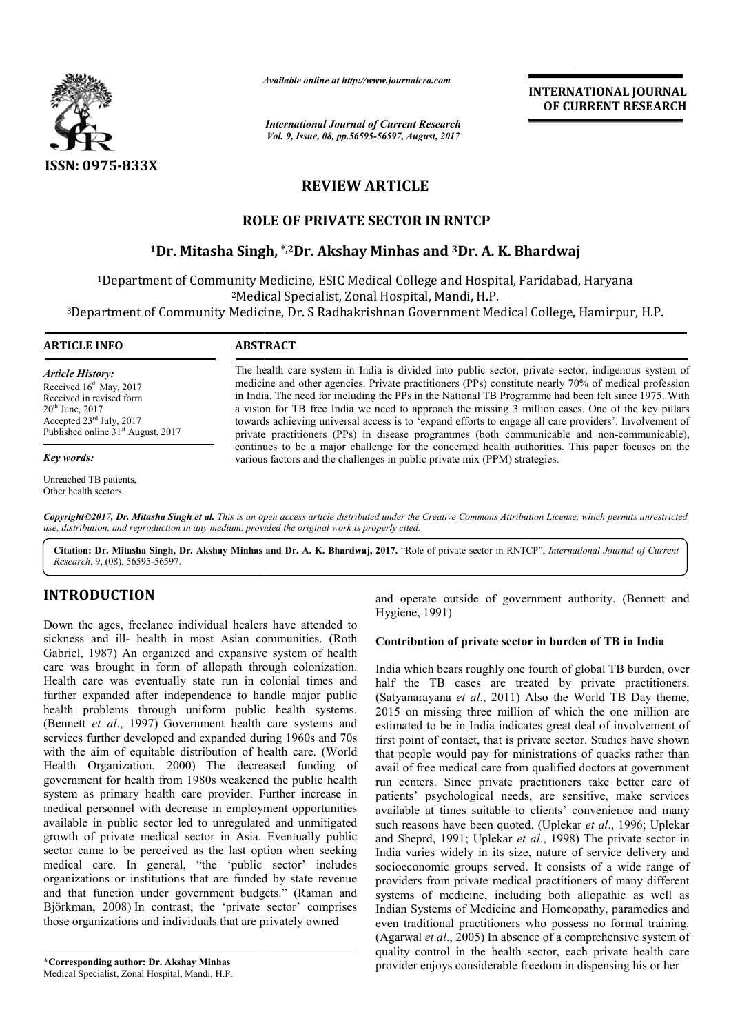

*Available online at http://www.journal http://www.journalcra.com*

*International Journal of Current Research Vol. 9, Issue, 08, pp.56595-56597, August, 2017* **INTERNATIONAL JOURNAL OF CURRENT RESEARCH** 

# **REVIEW ARTICLE**

# **ROLE OF PRIVATE SECTOR IN RNTCP**

# **1Dr. Mitasha Singh Dr. Singh, \*,2Dr. Akshay Minhas and 3Dr. A. K. Bhardwaj**

1Department of Community Medicine, ESIC Medical College and Hospital, Faridabad, Haryana

2Medical Specialist Medical Specialist, Zonal Hospital, Mandi, H.P.

<sup>3</sup>Department of Community Medicine, Dr. S Radhakrishnan Government Medical College, Hamirpur, H.P.

#### **ARTICLE INFO ABSTRACT** The health care system in India is divided into public sector, private sector, indigenous system of medicine and other agencies. Private practitioners (PPs) constitute nearly 70% of medical profession in India. The need for including the PPs in the National TB Programme had been felt since 1975. With a vision for TB free India we need to approach the missing 3 million cases. One of the key pillars *Article History:* Received 16<sup>th</sup> May, 2017 Received in revised form  $20<sup>th</sup>$  June,  $2017$ Accepted 23rd July, 2017

Published online 31<sup>st</sup> August, 2017

#### *Key words:*

Unreached TB patients, Other health sectors.

towards achieving universal access is to 'expand efforts to engage all care providers'. Involvement of private practitioners (PPs) in disease programmes (both communicable and non continues to be a major challenge for the concerned health authorities. This paper focuses on the continues to be a major challenge for the concerned health authorities. This various factors and the challenges in public private mix (PPM) strategies. medicine and other agencies. Private practitioners (PPs) constitute nearly 70% of medical profession<br>in India. The need for including the PPs in the National TB Programme had been felt since 1975. With<br>a vision for TB free

*Copyright©2017, Dr. Mitasha Singh et al. This is an open access article distributed under the Creative Commons Attribution License, which ribution permits unrestricted use, distribution, and reproduction in any medium, provided the original work is properly cited.*

Citation: Dr. Mitasha Singh, Dr. Akshay Minhas and Dr. A. K. Bhardwaj, 2017. "Role of private sector in RNTCP", *International Journal of Current Research*, 9, (08), 56595-56597.

# **INTRODUCTION**

Down the ages, freelance individual healers have attended to sickness and ill- health in most Asian communities. (Roth Gabriel, 1987) An organized and expansive system of health care was brought in form of allopath through colonization. Health care was eventually state run in colonial times and further expanded after independence to handle major public health problems through uniform public health systems. (Bennett *et al*., 1997) Government health care systems and Health care was eventually state run in colonial times and further expanded after independence to handle major public health problems through uniform public health systems.<br>(Bennett *et al.*, 1997) Government health care s with the aim of equitable distribution of health care. (World Health Organization, 2000) The decreased funding of government for health from 1980s weakened the public health system as primary health care provider. Further increase in medical personnel with decrease in employment opportunities available in public sector led to unregulated and unmitigated growth of private medical sector in Asia. Eventually public sector came to be perceived as the last option when seeking medical care. In general, "the 'public sector' includes organizations or institutions that are funded by state revenue and that function under government budgets." (Raman and Björkman, 2008) In contrast, the 'private sector' comprises those organizations and individuals that are privately owned **EXECT TION**<br>
and operate outside of government authority. (Bennett and<br>
the ages, freelance individual healers have attended to<br>
Expansive system of health<br>
all. 1987) An organized and expansive system of health<br>
all. 198

**\*Corresponding author: Dr. Akshay Minhas**  Medical Specialist, Zonal Hospital, Mandi, H.P. Hygiene, 1991) and operate outside of government authority. (Bennett and

## **Contribution of private sector in burden of TB in India**

India which bears roughly one fourth of global TB burden, over half the TB cases are treated by private practitioners. (Satyanarayana *et al*., 2011) Also the World TB Day theme, 2015 on missing three million of which the one million are estimated to be in India indicates great deal of involvement of first point of contact, that is private sector. Studies have shown that people would pay for ministrations of quacks rather than avail of free medical care from qualified doctors at government run centers. Since private practitioners take better care of patients' psychological needs, are sensitive, make services available at times suitable to clients' convenience and many first point of contact, that is private sector. Studies have shown that people would pay for ministrations of quacks rather than avail of free medical care from qualified doctors at government run centers. Since private pr and Sheprd, 1991; Uplekar *et al.*, 1998) The private sector in India varies widely in its size, nature of service delivery and socioeconomic groups served. It consists of a wide range of providers from private medical practitioners of many different systems of medicine, including both allopathic as well as Indian Systems of Medicine and Homeopathy, paramedics and even traditional practitioners who possess no formal training. (Agarwal *et al*., 2005) In absence of a comprehensive system of Indian Systems of Medicine and Homeopathy, paramedics and even traditional practitioners who possess no formal training. (Agarwal *et al.*, 2005) In absence of a comprehensive system of quality control in the health sector provider enjoys considerable freedom in dispensing his or her TB cases are treated by private practitioners.<br>ayana *et al.*, 2011) Also the World TB Day theme, missing three million of which the one million are to be in India indicates great deal of involvement of varies widely in its size, nature of service delivery and<br>economic groups served. It consists of a wide range of<br>lers from private medical practitioners of many different<br>ns of medicine, including both allopathic as well a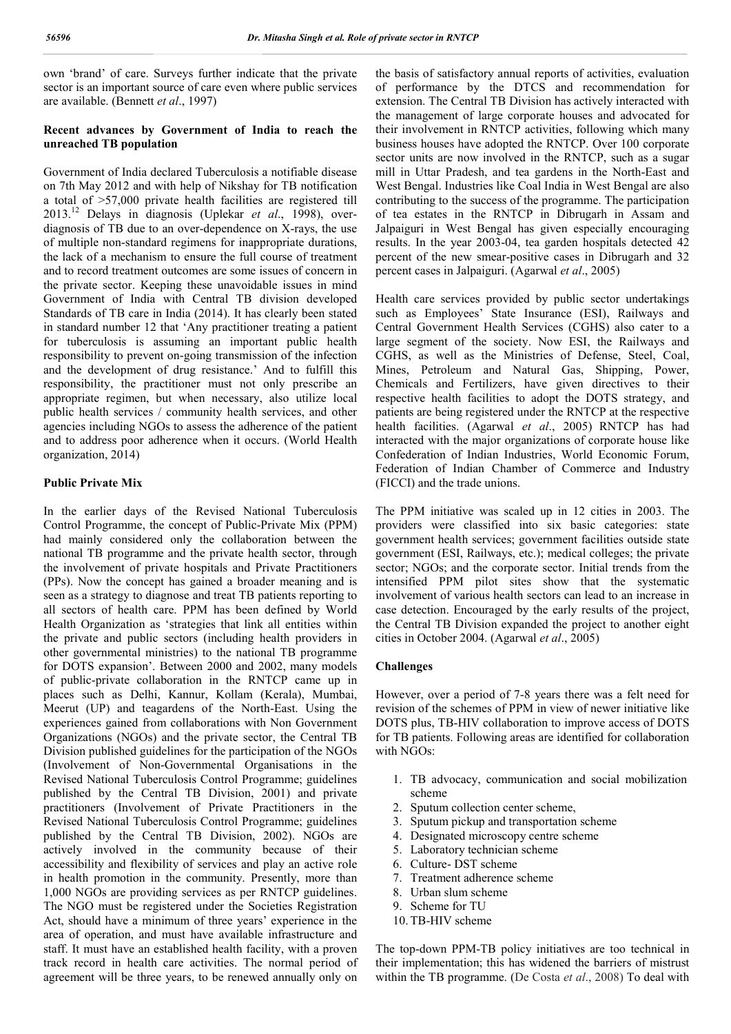own 'brand' of care. Surveys further indicate that the private sector is an important source of care even where public services are available. (Bennett *et al*., 1997)

#### **Recent advances by Government of India to reach the unreached TB population**

Government of India declared Tuberculosis a notifiable disease on 7th May 2012 and with help of Nikshay for TB notification a total of >57,000 private health facilities are registered till 2013.<sup>12</sup> Delays in diagnosis (Uplekar *et al.*, 1998), overdiagnosis of TB due to an over-dependence on X-rays, the use of multiple non-standard regimens for inappropriate durations, the lack of a mechanism to ensure the full course of treatment and to record treatment outcomes are some issues of concern in the private sector. Keeping these unavoidable issues in mind Government of India with Central TB division developed Standards of TB care in India (2014). It has clearly been stated in standard number 12 that 'Any practitioner treating a patient for tuberculosis is assuming an important public health responsibility to prevent on-going transmission of the infection and the development of drug resistance.' And to fulfill this responsibility, the practitioner must not only prescribe an appropriate regimen, but when necessary, also utilize local public health services / community health services, and other agencies including NGOs to assess the adherence of the patient and to address poor adherence when it occurs. (World Health organization, 2014)

## **Public Private Mix**

In the earlier days of the Revised National Tuberculosis Control Programme, the concept of Public-Private Mix (PPM) had mainly considered only the collaboration between the national TB programme and the private health sector, through the involvement of private hospitals and Private Practitioners (PPs). Now the concept has gained a broader meaning and is seen as a strategy to diagnose and treat TB patients reporting to all sectors of health care. PPM has been defined by World Health Organization as 'strategies that link all entities within the private and public sectors (including health providers in other governmental ministries) to the national TB programme for DOTS expansion'. Between 2000 and 2002, many models of public-private collaboration in the RNTCP came up in places such as Delhi, Kannur, Kollam (Kerala), Mumbai, Meerut (UP) and teagardens of the North-East. Using the experiences gained from collaborations with Non Government Organizations (NGOs) and the private sector, the Central TB Division published guidelines for the participation of the NGOs (Involvement of Non-Governmental Organisations in the Revised National Tuberculosis Control Programme; guidelines published by the Central TB Division, 2001) and private practitioners (Involvement of Private Practitioners in the Revised National Tuberculosis Control Programme; guidelines published by the Central TB Division, 2002). NGOs are actively involved in the community because of their accessibility and flexibility of services and play an active role in health promotion in the community. Presently, more than 1,000 NGOs are providing services as per RNTCP guidelines. The NGO must be registered under the Societies Registration Act, should have a minimum of three years' experience in the area of operation, and must have available infrastructure and staff. It must have an established health facility, with a proven track record in health care activities. The normal period of agreement will be three years, to be renewed annually only on

the basis of satisfactory annual reports of activities, evaluation of performance by the DTCS and recommendation for extension. The Central TB Division has actively interacted with the management of large corporate houses and advocated for their involvement in RNTCP activities, following which many business houses have adopted the RNTCP. Over 100 corporate sector units are now involved in the RNTCP, such as a sugar mill in Uttar Pradesh, and tea gardens in the North-East and West Bengal. Industries like Coal India in West Bengal are also contributing to the success of the programme. The participation of tea estates in the RNTCP in Dibrugarh in Assam and Jalpaiguri in West Bengal has given especially encouraging results. In the year 2003-04, tea garden hospitals detected 42 percent of the new smear-positive cases in Dibrugarh and 32 percent cases in Jalpaiguri. (Agarwal *et al*., 2005)

Health care services provided by public sector undertakings such as Employees' State Insurance (ESI), Railways and Central Government Health Services (CGHS) also cater to a large segment of the society. Now ESI, the Railways and CGHS, as well as the Ministries of Defense, Steel, Coal, Mines, Petroleum and Natural Gas, Shipping, Power, Chemicals and Fertilizers, have given directives to their respective health facilities to adopt the DOTS strategy, and patients are being registered under the RNTCP at the respective health facilities. (Agarwal *et al*., 2005) RNTCP has had interacted with the major organizations of corporate house like Confederation of Indian Industries, World Economic Forum, Federation of Indian Chamber of Commerce and Industry (FICCI) and the trade unions.

The PPM initiative was scaled up in 12 cities in 2003. The providers were classified into six basic categories: state government health services; government facilities outside state government (ESI, Railways, etc.); medical colleges; the private sector; NGOs; and the corporate sector. Initial trends from the intensified PPM pilot sites show that the systematic involvement of various health sectors can lead to an increase in case detection. Encouraged by the early results of the project, the Central TB Division expanded the project to another eight cities in October 2004. (Agarwal *et al*., 2005)

## **Challenges**

However, over a period of 7-8 years there was a felt need for revision of the schemes of PPM in view of newer initiative like DOTS plus, TB-HIV collaboration to improve access of DOTS for TB patients. Following areas are identified for collaboration with NGOs:

- 1. TB advocacy, communication and social mobilization scheme
- 2. Sputum collection center scheme,
- 3. Sputum pickup and transportation scheme
- 4. Designated microscopy centre scheme
- 5. Laboratory technician scheme
- 6. Culture- DST scheme
- 7. Treatment adherence scheme
- 8. Urban slum scheme
- 9. Scheme for TU
- 10. TB-HIV scheme

The top-down PPM-TB policy initiatives are too technical in their implementation; this has widened the barriers of mistrust within the TB programme. (De Costa *et al*., 2008) To deal with